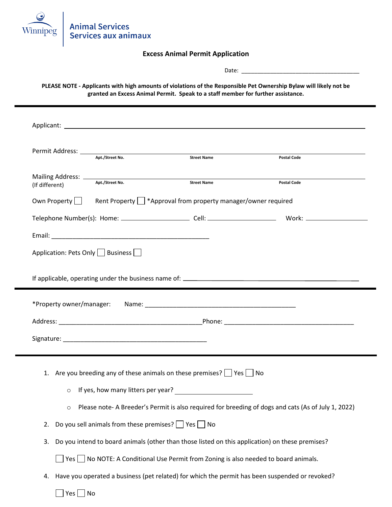

## **Excess Animal Permit Application**

Date: \_\_\_\_\_\_\_\_\_\_\_\_\_\_\_\_\_\_\_\_\_\_\_\_\_\_\_\_\_\_\_\_\_\_\_\_\_

**PLEASE NOTE - Applicants with high amounts of violations of the Responsible Pet Ownership Bylaw will likely not be granted an Excess Animal Permit. Speak to a staff member for further assistance.**

|                                     | Apt./Street No.                               | Permit Address: National Address: National Address: National Address: National Address: National Address: National Address: National Address: National Address: National Address: National Address: National Address: National<br><b>Street Name</b> | <b>Postal Code</b>                                                                                 |
|-------------------------------------|-----------------------------------------------|------------------------------------------------------------------------------------------------------------------------------------------------------------------------------------------------------------------------------------------------------|----------------------------------------------------------------------------------------------------|
|                                     |                                               |                                                                                                                                                                                                                                                      |                                                                                                    |
| (If different)                      | Apt./Street No.                               | <b>Street Name</b>                                                                                                                                                                                                                                   | <b>Postal Code</b>                                                                                 |
|                                     |                                               | Own Property $\Box$ Rent Property $\Box$ *Approval from property manager/owner required                                                                                                                                                              |                                                                                                    |
|                                     |                                               |                                                                                                                                                                                                                                                      |                                                                                                    |
|                                     |                                               |                                                                                                                                                                                                                                                      |                                                                                                    |
| Application: Pets Only     Business |                                               |                                                                                                                                                                                                                                                      |                                                                                                    |
|                                     |                                               |                                                                                                                                                                                                                                                      |                                                                                                    |
|                                     |                                               |                                                                                                                                                                                                                                                      |                                                                                                    |
|                                     |                                               |                                                                                                                                                                                                                                                      |                                                                                                    |
|                                     |                                               |                                                                                                                                                                                                                                                      |                                                                                                    |
|                                     |                                               |                                                                                                                                                                                                                                                      |                                                                                                    |
|                                     |                                               |                                                                                                                                                                                                                                                      |                                                                                                    |
|                                     |                                               |                                                                                                                                                                                                                                                      |                                                                                                    |
|                                     |                                               | 1. Are you breeding any of these animals on these premises? $\Box$ Yes $\Box$ No                                                                                                                                                                     |                                                                                                    |
| $\circ$                             |                                               | If yes, how many litters per year?                                                                                                                                                                                                                   |                                                                                                    |
| $\circ$                             |                                               |                                                                                                                                                                                                                                                      | Please note-A Breeder's Permit is also required for breeding of dogs and cats (As of July 1, 2022) |
| 2.                                  | Do you sell animals from these premises? Thes |                                                                                                                                                                                                                                                      |                                                                                                    |
| 3.                                  |                                               |                                                                                                                                                                                                                                                      | Do you intend to board animals (other than those listed on this application) on these premises?    |
|                                     |                                               | $\Box$ Yes $\Box$ No NOTE: A Conditional Use Permit from Zoning is also needed to board animals.                                                                                                                                                     |                                                                                                    |
| 4.                                  |                                               |                                                                                                                                                                                                                                                      | Have you operated a business (pet related) for which the permit has been suspended or revoked?     |
| Yes<br>No                           |                                               |                                                                                                                                                                                                                                                      |                                                                                                    |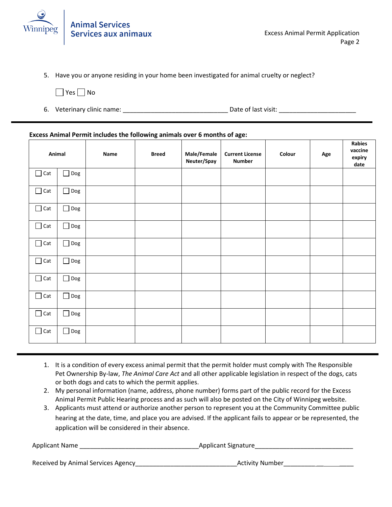

5. Have you or anyone residing in your home been investigated for animal cruelty or neglect?

 $\Box$  Yes  $\Box$  No

6. Veterinary clinic name: \_\_\_\_\_\_\_\_\_\_\_\_\_\_\_\_\_\_\_\_\_\_\_\_\_\_\_\_\_\_ Date of last visit: \_\_\_\_\_\_\_\_\_\_\_\_\_\_\_\_\_\_\_\_\_\_

### **Excess Animal Permit includes the following animals over 6 months of age:**

|            | Animal        | Name | <b>Breed</b> | Male/Female<br>Neuter/Spay | <b>Current License</b><br><b>Number</b> | Colour | Age | Rabies<br>vaccine<br>expiry<br>date |
|------------|---------------|------|--------------|----------------------------|-----------------------------------------|--------|-----|-------------------------------------|
| $\Box$ Cat | $\Box$ Dog    |      |              |                            |                                         |        |     |                                     |
| $\Box$ Cat | $\Box$ Dog    |      |              |                            |                                         |        |     |                                     |
| $\Box$ Cat | $\Box$ Dog    |      |              |                            |                                         |        |     |                                     |
| $\Box$ Cat | $\Box$ Dog    |      |              |                            |                                         |        |     |                                     |
| $\Box$ Cat | $\Box$ Dog    |      |              |                            |                                         |        |     |                                     |
| $\Box$ Cat | $\Box$ Dog    |      |              |                            |                                         |        |     |                                     |
| $\Box$ Cat | $\Box$ Dog    |      |              |                            |                                         |        |     |                                     |
| $\Box$ Cat | $\Box$<br>Dog |      |              |                            |                                         |        |     |                                     |
| $\Box$ Cat | $\Box$ Dog    |      |              |                            |                                         |        |     |                                     |
| $\Box$ Cat | $\Box$ Dog    |      |              |                            |                                         |        |     |                                     |

- 1. It is a condition of every excess animal permit that the permit holder must comply with The Responsible Pet Ownership By-law, *The Animal Care Act* and all other applicable legislation in respect of the dogs, cats or both dogs and cats to which the permit applies.
- 2. My personal information (name, address, phone number) forms part of the public record for the Excess Animal Permit Public Hearing process and as such will also be posted on the City of Winnipeg website.
- 3. Applicants must attend or authorize another person to represent you at the Community Committee public hearing at the date, time, and place you are advised. If the applicant fails to appear or be represented, the application will be considered in their absence.

Applicant Name the control of the control of the Applicant Signature of the control of the control of the control of the control of the control of the control of the control of the control of the control of the control of

Received by Animal Services Agency\_\_\_\_\_\_\_\_\_\_\_\_\_\_\_\_\_\_\_\_\_\_\_\_\_\_\_\_\_Activity Number\_\_\_\_\_\_\_\_\_ \_\_ \_\_\_\_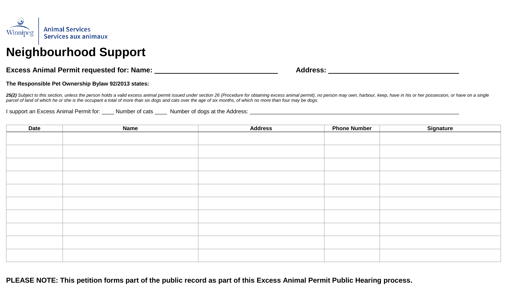

# **Excess Animal Permit requested for: Name: Address:**

## **The Responsible Pet Ownership Bylaw 92/2013 states:**

25(2) Subject to this section, unless the person holds a valid excess animal permit issued under section 26 (Procedure for obtaining excess animal permit), no person may own, harbour, keep, have in his or her possession, o *parcel of land of which he or she is the occupant a total of more than six dogs and cats over the age of six months, of which no more than four may be dogs.*

I support an Excess Animal Permit for: \_\_\_\_ Number of cats \_\_\_\_ Number of dogs at the Address:

| <b>Date</b> | <b>Name</b> | <b>Address</b> | <b>Phone Number</b> | Signature |
|-------------|-------------|----------------|---------------------|-----------|
|             |             |                |                     |           |
|             |             |                |                     |           |
|             |             |                |                     |           |
|             |             |                |                     |           |
|             |             |                |                     |           |
|             |             |                |                     |           |
|             |             |                |                     |           |
|             |             |                |                     |           |
|             |             |                |                     |           |
|             |             |                |                     |           |
|             |             |                |                     |           |
|             |             |                |                     |           |
|             |             |                |                     |           |
|             |             |                |                     |           |
|             |             |                |                     |           |
|             |             |                |                     |           |
|             |             |                |                     |           |
|             |             |                |                     |           |

**PLEASE NOTE: This petition forms part of the public record as part of this Excess Animal Permit Public Hearing process.**